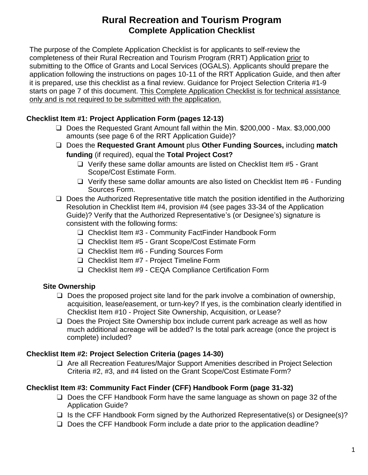# **Rural Recreation and Tourism Program Complete Application Checklist**

The purpose of the Complete Application Checklist is for applicants to self-review the completeness of their Rural Recreation and Tourism Program (RRT) Application prior to submitting to the Office of Grants and Local Services (OGALS). Applicants should prepare the application following the instructions on pages 10-11 of the RRT Application Guide, and then after it is prepared, use this checklist as a final review. Guidance for Project Selection Criteria #1-9 starts on page 7 of this document. This Complete Application Checklist is for technical assistance only and is not required to be submitted with the application.

### **Checklist Item #1: Project Application Form (pages 12-13)**

- ❑ Does the Requested Grant Amount fall within the Min. \$200,000 Max. \$3,000,000 amounts (see page 6 of the RRT Application Guide)?
- ❑ Does the **Requested Grant Amount** plus **Other Funding Sources,** including **match funding** (if required), equal the **Total Project Cost?**
	- ❑ Verify these same dollar amounts are listed on Checklist Item #5 Grant Scope/Cost Estimate Form.
	- ❑ Verify these same dollar amounts are also listed on Checklist Item #6 Funding Sources Form.
- ❑ Does the Authorized Representative title match the position identified in the Authorizing Resolution in Checklist Item #4, provision #4 (see pages 33-34 of the Application Guide)? Verify that the Authorized Representative's (or Designee's) signature is consistent with the following forms:
	- ❑ Checklist Item #3 Community FactFinder Handbook Form
	- ❑ Checklist Item #5 Grant Scope/Cost Estimate Form
	- ❑ Checklist Item #6 Funding Sources Form
	- ❑ Checklist Item #7 Project Timeline Form
	- ❑ Checklist Item #9 CEQA Compliance Certification Form

### **Site Ownership**

- $\Box$  Does the proposed project site land for the park involve a combination of ownership, acquisition, lease/easement, or turn-key? If yes, is the combination clearly identified in Checklist Item #10 - Project Site Ownership, Acquisition, or Lease?
- ❑ Does the Project Site Ownership box include current park acreage as well as how much additional acreage will be added? Is the total park acreage (once the project is complete) included?

### **Checklist Item #2: Project Selection Criteria (pages 14-30)**

❑ Are all Recreation Features/Major Support Amenities described in Project Selection Criteria #2, #3, and #4 listed on the Grant Scope/Cost Estimate Form?

### **Checklist Item #3: Community Fact Finder (CFF) Handbook Form (page 31-32)**

- ❑ Does the CFF Handbook Form have the same language as shown on page 32 of the Application Guide?
- ❑ Is the CFF Handbook Form signed by the Authorized Representative(s) or Designee(s)?
- ❑ Does the CFF Handbook Form include a date prior to the application deadline?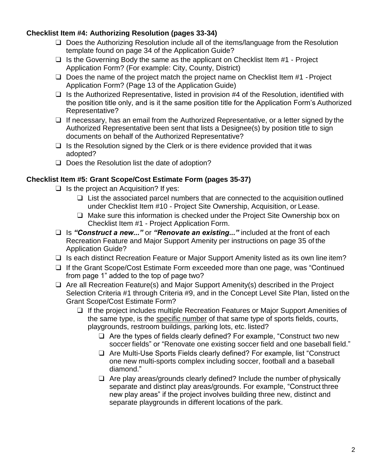#### **Checklist Item #4: Authorizing Resolution (pages 33-34)**

- ❑ Does the Authorizing Resolution include all of the items/language from the Resolution template found on page 34 of the Application Guide?
- $\Box$  Is the Governing Body the same as the applicant on Checklist Item #1 Project Application Form? (For example: City, County, District)
- ❑ Does the name of the project match the project name on Checklist Item #1 -Project Application Form? (Page 13 of the Application Guide)
- $\Box$  Is the Authorized Representative, listed in provision #4 of the Resolution, identified with the position title only, and is it the same position title for the Application Form's Authorized Representative?
- ❑ If necessary, has an email from the Authorized Representative, or a letter signed by the Authorized Representative been sent that lists a Designee(s) by position title to sign documents on behalf of the Authorized Representative?
- $\Box$  Is the Resolution signed by the Clerk or is there evidence provided that it was adopted?
- ❑ Does the Resolution list the date of adoption?

#### **Checklist Item #5: Grant Scope/Cost Estimate Form (pages 35-37)**

- $\Box$  Is the project an Acquisition? If yes:
	- ❑ List the associated parcel numbers that are connected to the acquisition outlined under Checklist Item #10 - Project Site Ownership, Acquisition, or Lease.
	- ❑ Make sure this information is checked under the Project Site Ownership box on Checklist Item #1 - Project Application Form.
- ❑ Is *"Construct a new..."* or *"Renovate an existing..."* included at the front of each Recreation Feature and Major Support Amenity per instructions on page 35 of the Application Guide?
- ❑ Is each distinct Recreation Feature or Major Support Amenity listed as its own line item?
- ❑ If the Grant Scope/Cost Estimate Form exceeded more than one page, was "Continued from page 1" added to the top of page two?
- ❑ Are all Recreation Feature(s) and Major Support Amenity(s) described in the Project Selection Criteria #1 through Criteria #9, and in the Concept Level Site Plan, listed on the Grant Scope/Cost Estimate Form?
	- ❑ If the project includes multiple Recreation Features or Major Support Amenities of the same type, is the specific number of that same type of sports fields, courts, playgrounds, restroom buildings, parking lots, etc. listed?
		- ❑ Are the types of fields clearly defined? For example, "Construct two new soccer fields" or "Renovate one existing soccer field and one baseball field."
		- ❑ Are Multi-Use Sports Fields clearly defined? For example, list "Construct one new multi-sports complex including soccer, football and a baseball diamond."
		- ❑ Are play areas/grounds clearly defined? Include the number of physically separate and distinct play areas/grounds. For example, "Construct three new play areas" if the project involves building three new, distinct and separate playgrounds in different locations of the park.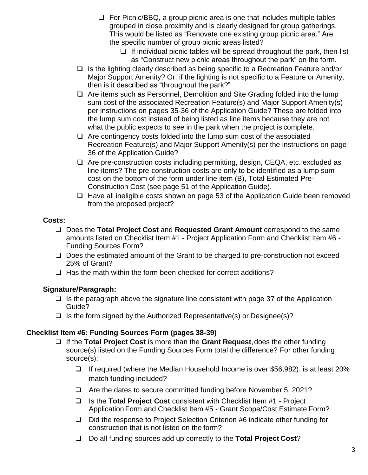- ❑ For Picnic/BBQ, a group picnic area is one that includes multiple tables grouped in close proximity and is clearly designed for group gatherings. This would be listed as "Renovate one existing group picnic area." Are the specific number of group picnic areas listed?
	- $\Box$  If individual picnic tables will be spread throughout the park, then list as "Construct new picnic areas throughout the park" on the form.
- ❑ Is the lighting clearly described as being specific to a Recreation Feature and/or Major Support Amenity? Or, if the lighting is not specific to a Feature or Amenity, then is it described as "throughout the park?"
- ❑ Are items such as Personnel, Demolition and Site Grading folded into the lump sum cost of the associated Recreation Feature(s) and Major Support Amenity(s) per instructions on pages 35-36 of the Application Guide? These are folded into the lump sum cost instead of being listed as line items because they are not what the public expects to see in the park when the project is complete.
- $\Box$  Are contingency costs folded into the lump sum cost of the associated Recreation Feature(s) and Major Support Amenity(s) per the instructions on page 36 of the Application Guide?
- ❑ Are pre-construction costs including permitting, design, CEQA, etc. excluded as line items? The pre-construction costs are only to be identified as a lump sum cost on the bottom of the form under line item (B), Total Estimated Pre-Construction Cost (see page 51 of the Application Guide).
- ❑ Have all ineligible costs shown on page 53 of the Application Guide been removed from the proposed project?

#### **Costs:**

- ❑ Does the **Total Project Cost** and **Requested Grant Amount** correspond to the same amounts listed on Checklist Item #1 - Project Application Form and Checklist Item #6 - Funding Sources Form?
- ❑ Does the estimated amount of the Grant to be charged to pre-construction not exceed 25% of Grant?
- ❑ Has the math within the form been checked for correct additions?

### **Signature/Paragraph:**

- $\Box$  Is the paragraph above the signature line consistent with page 37 of the Application Guide?
- $\Box$  Is the form signed by the Authorized Representative(s) or Designee(s)?

### **Checklist Item #6: Funding Sources Form (pages 38-39)**

- ❑ If the **Total Project Cost** is more than the **Grant Request**,does the other funding source(s) listed on the Funding Sources Form total the difference? For other funding source(s):
	- ❑ If required (where the Median Household Income is over \$56,982), is at least 20% match funding included?
	- ❑ Are the dates to secure committed funding before November 5, 2021?
	- ❑ Is the **Total Project Cost** consistent with Checklist Item #1 Project Application Form and Checklist Item #5 - Grant Scope/Cost Estimate Form?
	- ❑ Did the response to Project Selection Criterion #6 indicate other funding for construction that is not listed on the form?
	- ❑ Do all funding sources add up correctly to the **Total Project Cost**?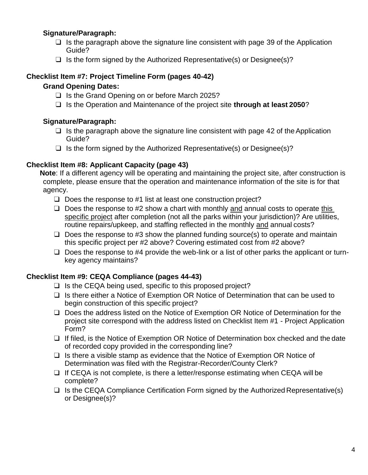### **Signature/Paragraph:**

- $\Box$  Is the paragraph above the signature line consistent with page 39 of the Application Guide?
- $\Box$  Is the form signed by the Authorized Representative(s) or Designee(s)?

### **Checklist Item #7: Project Timeline Form (pages 40-42)**

### **Grand Opening Dates:**

- ❑ Is the Grand Opening on or before March 2025?
- ❑ Is the Operation and Maintenance of the project site **through at least 2050**?

### **Signature/Paragraph:**

- $\Box$  Is the paragraph above the signature line consistent with page 42 of the Application Guide?
- $\Box$  Is the form signed by the Authorized Representative(s) or Designee(s)?

### **Checklist Item #8: Applicant Capacity (page 43)**

**Note**: If a different agency will be operating and maintaining the project site, after construction is complete, please ensure that the operation and maintenance information of the site is for that agency.

- ❑ Does the response to #1 list at least one construction project?
- $\Box$  Does the response to #2 show a chart with monthly and annual costs to operate this specific project after completion (not all the parks within your jurisdiction)? Are utilities, routine repairs/upkeep, and staffing reflected in the monthly and annual costs?
- $\Box$  Does the response to #3 show the planned funding source(s) to operate and maintain this specific project per #2 above? Covering estimated cost from #2 above?
- $\Box$  Does the response to #4 provide the web-link or a list of other parks the applicant or turnkey agency maintains?

### **Checklist Item #9: CEQA Compliance (pages 44-43)**

- $\Box$  Is the CEQA being used, specific to this proposed project?
- ❑ Is there either a Notice of Exemption OR Notice of Determination that can be used to begin construction of this specific project?
- □ Does the address listed on the Notice of Exemption OR Notice of Determination for the project site correspond with the address listed on Checklist Item #1 - Project Application Form?
- ❑ If filed, is the Notice of Exemption OR Notice of Determination box checked and the date of recorded copy provided in the corresponding line?
- ❑ Is there a visible stamp as evidence that the Notice of Exemption OR Notice of Determination was filed with the Registrar-Recorder/County Clerk?
- ❑ If CEQA is not complete, is there a letter/response estimating when CEQA will be complete?
- ❑ Is the CEQA Compliance Certification Form signed by the Authorized Representative(s) or Designee(s)?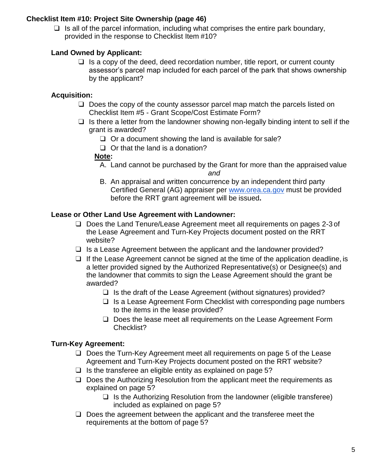#### **Checklist Item #10: Project Site Ownership (page 46)**

 $\Box$  Is all of the parcel information, including what comprises the entire park boundary, provided in the response to Checklist Item #10?

#### **Land Owned by Applicant:**

 $\Box$  Is a copy of the deed, deed recordation number, title report, or current county assessor's parcel map included for each parcel of the park that shows ownership by the applicant?

# **Acquisition:**

- ❑ Does the copy of the county assessor parcel map match the parcels listed on Checklist Item #5 - Grant Scope/Cost Estimate Form?
- $\Box$  Is there a letter from the landowner showing non-legally binding intent to sell if the grant is awarded?
	- $\Box$  Or a document showing the land is available for sale?
	- ❑ Or that the land is a donation?

#### **Note:**

- A. Land cannot be purchased by the Grant for more than the appraised value *and*
- B. An appraisal and written concurrence by an independent third party Certified General (AG) appraiser per [www.orea.ca.gov](http://www.orea.ca.gov/) must be provided before the RRT grant agreement will be issued**.**

### **Lease or Other Land Use Agreement with Landowner:**

- ❑ Does the Land Tenure/Lease Agreement meet all requirements on pages 2-3 of the Lease Agreement and Turn-Key Projects document posted on the RRT website?
- $\Box$  Is a Lease Agreement between the applicant and the landowner provided?
- $\Box$  If the Lease Agreement cannot be signed at the time of the application deadline, is a letter provided signed by the Authorized Representative(s) or Designee(s) and the landowner that commits to sign the Lease Agreement should the grant be awarded?
	- ❑ Is the draft of the Lease Agreement (without signatures) provided?
	- ❑ Is a Lease Agreement Form Checklist with corresponding page numbers to the items in the lease provided?
	- ❑ Does the lease meet all requirements on the Lease Agreement Form Checklist?

### **Turn-Key Agreement:**

- ❑ Does the Turn-Key Agreement meet all requirements on page 5 of the Lease Agreement and Turn-Key Projects document posted on the RRT website?
- $\Box$  Is the transferee an eligible entity as explained on page 5?
- ❑ Does the Authorizing Resolution from the applicant meet the requirements as explained on page 5?
	- $\Box$  Is the Authorizing Resolution from the landowner (eligible transferee) included as explained on page 5?
- ❑ Does the agreement between the applicant and the transferee meet the requirements at the bottom of page 5?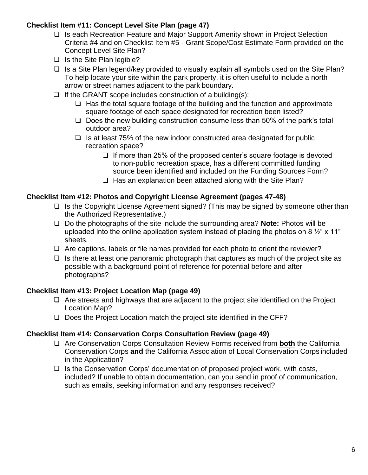### **Checklist Item #11: Concept Level Site Plan (page 47)**

- ❑ Is each Recreation Feature and Major Support Amenity shown in Project Selection Criteria #4 and on Checklist Item #5 - Grant Scope/Cost Estimate Form provided on the Concept Level Site Plan?
- ❑ Is the Site Plan legible?
- ❑ Is a Site Plan legend/key provided to visually explain all symbols used on the Site Plan? To help locate your site within the park property, it is often useful to include a north arrow or street names adjacent to the park boundary.
- $\Box$  If the GRANT scope includes construction of a building(s):
	- $\Box$  Has the total square footage of the building and the function and approximate square footage of each space designated for recreation been listed?
	- ❑ Does the new building construction consume less than 50% of the park's total outdoor area?
	- ❑ Is at least 75% of the new indoor constructed area designated for public recreation space?
		- ❑ If more than 25% of the proposed center's square footage is devoted to non-public recreation space, has a different committed funding source been identified and included on the Funding Sources Form?
		- □ Has an explanation been attached along with the Site Plan?

### **Checklist Item #12: Photos and Copyright License Agreement (pages 47-48)**

- ❑ Is the Copyright License Agreement signed? (This may be signed by someone other than the Authorized Representative.)
- ❑ Do the photographs of the site include the surrounding area? **Note:** Photos will be uploaded into the online application system instead of placing the photos on 8  $\frac{1}{2}$ " x 11" sheets.
- ❑ Are captions, labels or file names provided for each photo to orient the reviewer?
- $\Box$  Is there at least one panoramic photograph that captures as much of the project site as possible with a background point of reference for potential before and after photographs?

#### **Checklist Item #13: Project Location Map (page 49)**

- ❑ Are streets and highways that are adjacent to the project site identified on the Project Location Map?
- ❑ Does the Project Location match the project site identified in the CFF?

#### **Checklist Item #14: Conservation Corps Consultation Review (page 49)**

- ❑ Are Conservation Corps Consultation Review Forms received from **both** the California Conservation Corps **and** the California Association of Local Conservation Corps included in the Application?
- ❑ Is the Conservation Corps' documentation of proposed project work, with costs, included? If unable to obtain documentation, can you send in proof of communication, such as emails, seeking information and any responses received?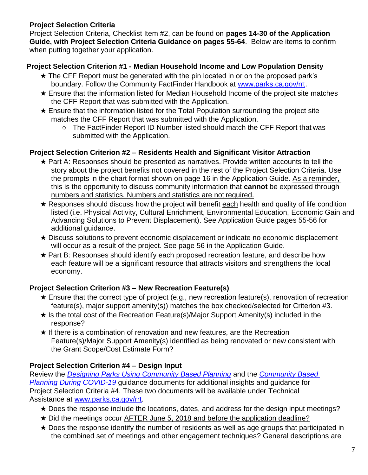### **Project Selection Criteria**

Project Selection Criteria, Checklist Item #2, can be found on **pages 14-30 of the Application Guide, with Project Selection Criteria Guidance on pages 55-64**. Below are items to confirm when putting together your application.

### **Project Selection Criterion #1 - Median Household Income and Low Population Density**

- ★ The CFF Report must be generated with the pin located in or on the proposed park's boundary. Follow the Community FactFinder Handbook at [www.parks.ca.gov/rrt.](http://www.parks.ca.gov/rrt)
- ★ Ensure that the information listed for Median Household Income of the project site matches the CFF Report that was submitted with the Application.
- $\star$  Ensure that the information listed for the Total Population surrounding the project site matches the CFF Report that was submitted with the Application.
	- The FactFinder Report ID Number listed should match the CFF Report that was submitted with the Application.

#### **Project Selection Criterion #2 – Residents Health and Significant Visitor Attraction**

- $\star$  Part A: Responses should be presented as narratives. Provide written accounts to tell the story about the project benefits not covered in the rest of the Project Selection Criteria. Use the prompts in the chart format shown on page 16 in the Application Guide. As a reminder, this is the opportunity to discuss community information that **cannot** be expressed through numbers and statistics. Numbers and statistics are not required.
- $\star$  Responses should discuss how the project will benefit each health and quality of life condition listed (i.e. Physical Activity, Cultural Enrichment, Environmental Education, Economic Gain and Advancing Solutions to Prevent Displacement). See Application Guide pages 55-56 for additional guidance.
- ★ Discuss solutions to prevent economic displacement or indicate no economic displacement will occur as a result of the project. See page 56 in the Application Guide.
- ★ Part B: Responses should identify each proposed recreation feature, and describe how each feature will be a significant resource that attracts visitors and strengthens the local economy.

### **Project Selection Criterion #3 – New Recreation Feature(s)**

- $\star$  Ensure that the correct type of project (e.g., new recreation feature(s), renovation of recreation feature(s), major support amenity(s)) matches the box checked/selected for Criterion #3.
- $\star$  Is the total cost of the Recreation Feature(s)/Major Support Amenity(s) included in the response?
- ★ If there is a combination of renovation and new features, are the Recreation Feature(s)/Major Support Amenity(s) identified as being renovated or new consistent with the Grant Scope/Cost Estimate Form?

#### **Project Selection Criterion #4 – Design Input**

Review the *[Designing Parks Using Community Based Planning](https://www.parksforcalifornia.org/planning_guide)* and the *[Community Based](https://www.parks.ca.gov/pages/1008/files/Interim_Guidance_for_Community.Based_Planning_Meetings_during_COVID19_12.28.2020.pdf)  [Planning During COVID-19](https://www.parks.ca.gov/pages/1008/files/Interim_Guidance_for_Community.Based_Planning_Meetings_during_COVID19_12.28.2020.pdf)* guidance documents for additional insights and guidance for Project Selection Criteria #4. These two documents will be available under Technical Assistance at [www.parks.ca.gov/rrt.](http://www.parks.ca.gov/rrt)

- ★ Does the response include the locations, dates, and address for the design input meetings?
- ★ Did the meetings occur AFTER June 5, 2018 and before the application deadline?
- $\star$  Does the response identify the number of residents as well as age groups that participated in the combined set of meetings and other engagement techniques? General descriptions are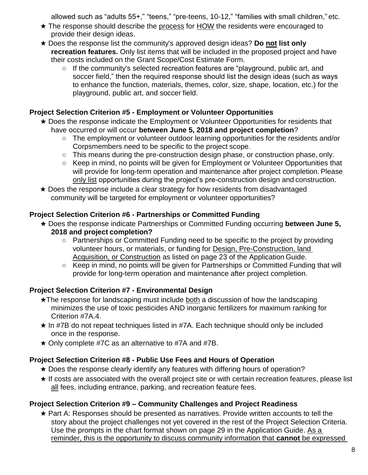allowed such as "adults 55+," "teens," "pre-teens, 10-12," "families with small children," etc.

- ★ The response should describe the process for HOW the residents were encouraged to provide their design ideas.
- ★ Does the response list the community's approved design ideas? **Do not list only recreation features.** Only list items that will be included in the proposed project and have their costs included on the Grant Scope/Cost Estimate Form.
	- If the community's selected recreation features are "playground, public art, and soccer field," then the required response should list the design ideas (such as ways to enhance the function, materials, themes, color, size, shape, location, etc.) for the playground, public art, and soccer field.

# **Project Selection Criterion #5 - Employment or Volunteer Opportunities**

- ★ Does the response indicate the Employment or Volunteer Opportunities for residents that have occurred or will occur **between June 5, 2018 and project completion**?
	- The employment or volunteer outdoor learning opportunities for the residents and/or Corpsmembers need to be specific to the project scope.
	- This means during the pre-construction design phase, or construction phase, only.
	- Keep in mind, no points will be given for Employment or Volunteer Opportunities that will provide for long-term operation and maintenance after project completion. Please only list opportunities during the project's pre-construction design and construction.
- ★ Does the response include a clear strategy for how residents from disadvantaged community will be targeted for employment or volunteer opportunities?

### **Project Selection Criterion #6 - Partnerships or Committed Funding**

- ★ Does the response indicate Partnerships or Committed Funding occurring **between June 5, 2018 and project completion?**
	- Partnerships or Committed Funding need to be specific to the project by providing volunteer hours, or materials, or funding for Design, Pre-Construction, land Acquisition, or Construction as listed on page 23 of the Application Guide.
	- Keep in mind, no points will be given for Partnerships or Committed Funding that will provide for long-term operation and maintenance after project completion.

### **Project Selection Criterion #7 - Environmental Design**

- ★The response for landscaping must include both a discussion of how the landscaping minimizes the use of toxic pesticides AND inorganic fertilizers for maximum ranking for Criterion #7A.4.
- $\star$  In #7B do not repeat techniques listed in #7A. Each technique should only be included once in the response.
- $\star$  Only complete #7C as an alternative to #7A and #7B.

# **Project Selection Criterion #8 - Public Use Fees and Hours of Operation**

- ★ Does the response clearly identify any features with differing hours of operation?
- ★ If costs are associated with the overall project site or with certain recreation features, please list all fees, including entrance, parking, and recreation feature fees.

# **Project Selection Criterion #9 – Community Challenges and Project Readiness**

★ Part A: Responses should be presented as narratives. Provide written accounts to tell the story about the project challenges not yet covered in the rest of the Project Selection Criteria. Use the prompts in the chart format shown on page 29 in the Application Guide. As a reminder, this is the opportunity to discuss community information that **cannot** be expressed